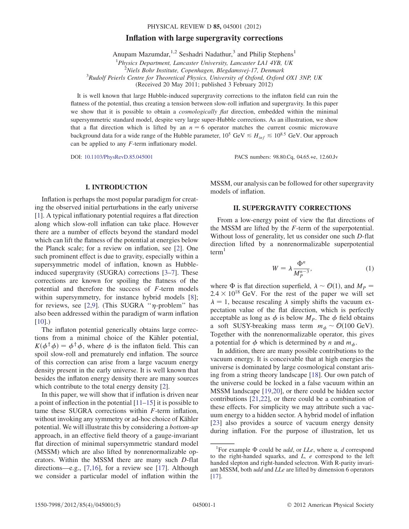# $\sum_{i=1}^{n} \sum_{j=1}^{n} \sum_{j=1}^{n} \sum_{j=1}^{n} \sum_{j=1}^{n} \sum_{j=1}^{n} \sum_{j=1}^{n} \sum_{j=1}^{n} \sum_{j=1}^{n} \sum_{j=1}^{n} \sum_{j=1}^{n} \sum_{j=1}^{n} \sum_{j=1}^{n} \sum_{j=1}^{n} \sum_{j=1}^{n} \sum_{j=1}^{n} \sum_{j=1}^{n} \sum_{j=1}^{n} \sum_{j=1}^{n} \sum_{j=1}^{n} \sum_{j=1}^{n} \sum_{j=1}^{n}$ PHYSICAL REVIEW D 85, 045001 (2012)<br>Inflation with large supergravity corrections

Anupam Mazumdar,<sup>1,2</sup> Seshadri Nadathur,<sup>3</sup> and Philip Stephens<sup>1</sup>

<sup>1</sup>Physics Department, Lancaster University, Lancaster LA1 4YB, UK<br><sup>2</sup>Niele Pehr Institute, Congrhesen, Plandammai 17, Denmark  $2$ Niels Bohr Institute, Copenhagen, Blegdamsvej-17, Denmark  $R^3R$ udolf Peierls Centre for Theoretical Physics, University of Oxford, Oxford OX1 3NP, UK (Received 20 May 2011; published 3 February 2012)

It is well known that large Hubble-induced supergravity corrections to the inflaton field can ruin the flatness of the potential, thus creating a tension between slow-roll inflation and supergravity. In this paper we show that it is possible to obtain a *cosmologically flat* direction, embedded within the minimal supersymmetric standard model, despite very large super-Hubble corrections. As an illustration, we show that a flat direction which is lifted by an  $n = 6$  operator matches the current cosmic microwave background data for a wide range of the Hubble parameter,  $10^5$  GeV  $\leq H_{inf} \leq 10^{8.5}$  GeV. Our approach can be applied to any  $F$ -term inflationary model.

DOI: [10.1103/PhysRevD.85.045001](http://dx.doi.org/10.1103/PhysRevD.85.045001) PACS numbers: 98.80.Cq, 04.65.+e, 12.60.Jv

### I. INTRODUCTION

Inflation is perhaps the most popular paradigm for creating the observed initial perturbations in the early universe [\[1\]](#page-4-0). A typical inflationary potential requires a flat direction along which slow-roll inflation can take place. However there are a number of effects beyond the standard model which can lift the flatness of the potential at energies below the Planck scale; for a review on inflation, see [\[2](#page-4-1)]. One such prominent effect is due to gravity, especially within a supersymmetric model of inflation, known as Hubbleinduced supergravity (SUGRA) corrections [\[3](#page-4-2)–[7\]](#page-4-3). These corrections are known for spoiling the flatness of the potential and therefore the success of F-term models within supersymmetry, for instance hybrid models [\[8\]](#page-4-4); for reviews, see [[2](#page-4-1),[9\]](#page-4-5). (This SUGRA " $\eta$ -problem" has also been addressed within the paradigm of warm inflation  $[10]$ .)

The inflaton potential generically obtains large corrections from a minimal choice of the Kähler potential,  $K(\phi^{\dagger} \phi) = \phi^{\dagger} \phi$ , where  $\phi$  is the inflaton field. This can spoil slow-roll and prematurely end inflation. The source of this correction can arise from a large vacuum energy density present in the early universe. It is well known that besides the inflaton energy density there are many sources which contribute to the total energy density [\[2](#page-4-1)].

In this paper, we will show that if inflation is driven near a point of inflection in the potential [\[11–](#page-4-7)[15](#page-4-8)] it is possible to tame these SUGRA corrections within F-term inflation, without invoking any symmetry or ad-hoc choice of Kähler potential. We will illustrate this by considering a bottom-up approach, in an effective field theory of a gauge-invariant flat direction of minimal supersymmetric standard model (MSSM) which are also lifted by nonrenormalizable operators. Within the MSSM there are many such D-flat directions—e.g., [\[7](#page-4-3)[,16\]](#page-4-9), for a review see [[17](#page-4-10)]. Although we consider a particular model of inflation within the MSSM, our analysis can be followed for other supergravity models of inflation.

#### **II. SUPERGRAVITY CORRECTIONS** II. SUPERGRAVITY CORRECTIONS

From a low-energy point of view the flat directions of the MSSM are lifted by the F-term of the superpotential. Without loss of generality, let us consider one such D-flat direction lifted by a nonrenormalizable superpotential  $term<sup>1</sup>$ 

$$
W = \lambda \frac{\Phi^n}{M_P^{n-3}},\tag{1}
$$

where  $\Phi$  is flat direction superfield,  $\lambda \sim \mathcal{O}(1)$ , and  $M_P =$  $2.4 \times 10^{18}$  GeV. For the rest of the paper we will set  $\lambda = 1$ , because rescaling  $\lambda$  simply shifts the vacuum expectation value of the flat direction, which is perfectly acceptable as long as  $\phi$  is below  $M_p$ . The  $\phi$  field obtains a soft SUSY-breaking mass term  $m_{\phi} \sim \mathcal{O}(100 \text{ GeV})$ . Together with the nonrenormalizable operator, this gives a potential for  $\phi$  which is determined by n and  $m_{\phi}$ .

In addition, there are many possible contributions to the vacuum energy. It is conceivable that at high energies the universe is dominated by large cosmological constant arising from a string theory landscape [\[18\]](#page-4-11). Our own patch of the universe could be locked in a false vacuum within an MSSM landscape [[19](#page-4-12),[20](#page-4-13)], or there could be hidden sector contributions [\[21,](#page-4-14)[22\]](#page-4-15), or there could be a combination of these effects. For simplicity we may attribute such a vacuum energy to a hidden sector. A hybrid model of inflation [\[23\]](#page-4-16) also provides a source of vacuum energy density during inflation. For the purpose of illustration, let us

<sup>&</sup>lt;sup>1</sup>For example  $\Phi$  could be *udd*, or *LLe*, where *u*, *d* correspond to the right-handed squarks, and L, e correspond to the left handed slepton and right-handed selectron. With R-parity invariant MSSM, both udd and LLe are lifted by dimension 6 operators [\[17\]](#page-4-10).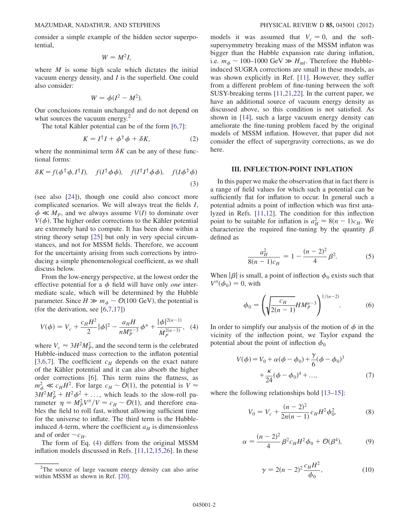consider a simple example of the hidden sector superpotential,

$$
W=M^2I,
$$

where  $M$  is some high scale which dictates the initial vacuum energy density, and I is the superfield. One could also consider:

$$
W = \phi(I^2 - M^2).
$$

Our conclusions remain unchanged and do not depend on what sources the vacuum energy.<sup>2</sup>

The total Kähler potential can be of the form  $[6,7]$  $[6,7]$  $[6,7]$  $[6,7]$ :

$$
K = I^{\dagger}I + \phi^{\dagger}\phi + \delta K, \tag{2}
$$

where the nonminimal term  $\delta K$  can be any of these functional forms:

$$
\delta K = f(\phi^{\dagger} \phi, I^{\dagger} I), \quad f(I^{\dagger} \phi \phi), \quad f(I^{\dagger} I^{\dagger} \phi \phi), \quad f(I \phi^{\dagger} \phi)
$$
\n(3)

(see also [\[24\]](#page-4-18)), though one could also concoct more complicated scenarios. We will always treat the fields I,  $\phi \ll M_P$ , and we always assume  $V(I)$  to dominate over  $V(\phi)$ . The higher order corrections to the Kähler potential are extremely hard to compute. It has been done within a string theory setup [[25](#page-4-19)] but only in very special circumstances, and not for MSSM fields. Therefore, we account for the uncertainty arising from such corrections by introducing a simple phenomenological coefficient, as we shall discuss below.

From the low-energy perspective, at the lowest order the effective potential for a  $\phi$  field will have only *one* intermediate scale, which will be determined by the Hubble parameter. Since  $H \gg m_{\phi} \sim \mathcal{O}(100 \text{ GeV})$ , the potential is (for the derivation, see [\[6](#page-4-17)[,7](#page-4-3),[17](#page-4-10)])

<span id="page-1-0"></span>
$$
V(\phi) = V_c + \frac{c_H H^2}{2} |\phi|^2 - \frac{a_H H}{n M_P^{n-3}} \phi^n + \frac{|\phi|^{2(n-1)}}{M_P^{2(n-3)}},
$$
 (4)

where  $V_c \approx 3H^2M_P^2$ , and the second term is the celebrated Hubble-induced mass correction to the inflaton potential [\[3,](#page-4-2)[6](#page-4-17)[,7](#page-4-3)]. The coefficient  $c_H$  depends on the exact nature of the Kähler potential and it can also absorb the higher order corrections [[6](#page-4-17)]. This term ruins the flatness, as  $m_{\phi}^2 \ll c_H H^2$ . For large  $c_H \sim \mathcal{O}(1)$ , the potential is  $V \approx$  $3H^2M_P^2 + H^2\phi^2 + \dots$ , which leads to the slow-roll parameter  $\eta = M_P^2 V''/V = c_H \sim \mathcal{O}(1)$ , and therefore enables the field to roll fast, without allowing sufficient time for the universe to inflate. The third term is the Hubbleinduced A-term, where the coefficient  $a_H$  is dimensionless and of order  $\sim c_H$ .

The form of Eq. [\(4](#page-1-0)) differs from the original MSSM inflation models discussed in Refs. [\[11,](#page-4-7)[12](#page-4-20)[,15](#page-4-8)[,26\]](#page-4-21). In these models it was assumed that  $V_c = 0$ , and the softsupersymmetry breaking mass of the MSSM inflaton was bigger than the Hubble expansion rate during inflation, i.e.  $m_{\phi} \sim 100-1000 \text{ GeV} \gg H_{\text{inf}}$ . Therefore the Hubbleinduced SUGRA corrections are small in these models, as was shown explicitly in Ref. [\[11\]](#page-4-7). However, they suffer from a different problem of fine-tuning between the soft SUSY-breaking terms [\[11](#page-4-7)[,21](#page-4-14)[,22\]](#page-4-15). In the current paper, we have an additional source of vacuum energy density as discussed above, so this condition is not satisfied. As shown in [\[14\]](#page-4-22), such a large vacuum energy density can ameliorate the fine-tuning problem faced by the original models of MSSM inflation. However, that paper did not consider the effect of supergravity corrections, as we do here.

### III. INFLECTION-POINT INFLATION

In this paper we make the observation that in fact there is a range of field values for which such a potential can be sufficiently flat for inflation to occur. In general such a potential admits a point of inflection which was first analyzed in Refs. [[11](#page-4-7),[12](#page-4-20)]. The condition for this inflection point to be suitable for inflation is  $a_H^2 \approx 8(n-1)c_H$ . We characterize the required fine-tuning by the quantity  $\beta$ defined as

$$
\frac{a_H^2}{8(n-1)c_H} = 1 - \frac{(n-2)^2}{4} \beta^2.
$$
 (5)

<span id="page-1-3"></span>When  $|\beta|$  is small, a point of inflection  $\phi_0$  exists such that  $V''(\phi_0) = 0$ , with

$$
\phi_0 = \left(\sqrt{\frac{c_H}{2(n-1)}} H M_P^{n-3}\right)^{1/(n-2)}.\tag{6}
$$

<span id="page-1-1"></span>In order to simplify our analysis of the motion of  $\phi$  in the vicinity of the inflection point, we Taylor expand the potential about the point of inflection  $\phi_0$ 

$$
V(\phi) = V_0 + \alpha(\phi - \phi_0) + \frac{\gamma}{6}(\phi - \phi_0)^3
$$
  
+ 
$$
\frac{\kappa}{24}(\phi - \phi_0)^4 + ..., \qquad (7)
$$

<span id="page-1-2"></span>where the following relationships hold  $[13-15]$  $[13-15]$  $[13-15]$ :

$$
V_0 = V_c + \frac{(n-2)^2}{2n(n-1)} c_H H^2 \phi_0^2, \tag{8}
$$

$$
\alpha = \frac{(n-2)^2}{4} \beta^2 c_H H^2 \phi_0 + \mathcal{O}(\beta^4),\tag{9}
$$

$$
\gamma = 2(n-2)^2 \frac{c_H H^2}{\phi_0},\tag{10}
$$

<sup>&</sup>lt;sup>2</sup>The source of large vacuum energy density can also arise  $\gamma = 2(n-2)^2 \frac{c_H n}{l}$ , (10) within MSSM as shown in Ref. [[20](#page-4-13)].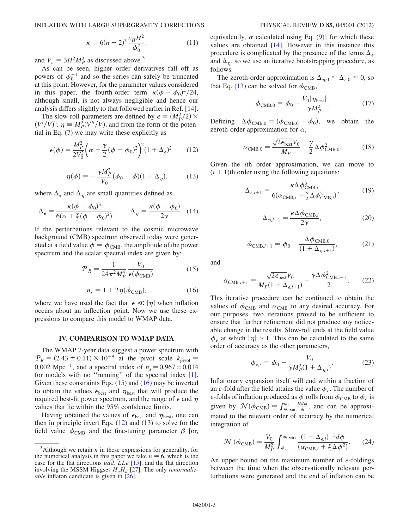$$
\kappa = 6(n-2)^3 \frac{c_H H^2}{\phi_0^2},\tag{11}
$$

and  $V_c = 3H^2M_p^2$  as discussed above.<sup>3</sup>

As can be seen, higher order derivatives fall off as powers of  $\phi_0^{-1}$  and so the series can safely be truncated at this point. However, for the parameter values considered in this paper, the fourth-order term  $\kappa(\phi - \phi_0)^4/24$ , although small, is not always negligible and hence our analysis differs slightly to that followed earlier in Ref. [[14\]](#page-4-22).

The slow-roll parameters are defined by  $\epsilon \equiv (M_P^2/2) \times$  $(V'/V)^2$ ,  $\eta \equiv M_P^2(V''/V)$ , and from the form of the potential in Eq. [\(7\)](#page-1-1) we may write these explicitly as

<span id="page-2-3"></span>
$$
\epsilon(\phi) = \frac{M_P^2}{2V_0^2} \left(\alpha + \frac{\gamma}{2}(\phi - \phi_0)^2\right)^2 (1 + \Delta_\epsilon)^2 \tag{12}
$$

$$
\eta(\phi) = -\frac{\gamma M_P^2}{V_0} (\phi_0 - \phi)(1 + \Delta_\eta), \quad (13)
$$

<span id="page-2-2"></span>where  $\Delta_{\epsilon}$  and  $\Delta_{\eta}$  are small quantities defined as

$$
\Delta_{\epsilon} = \frac{\kappa(\phi - \phi_0)^3}{6(\alpha + \frac{\gamma}{2}(\phi - \phi_0)^2)}, \qquad \Delta_{\eta} = \frac{\kappa(\phi - \phi_0)}{2\gamma}.
$$
 (14)

<span id="page-2-1"></span>If the perturbations relevant to the cosmic microwave background (CMB) spectrum observed today were generated at a field value  $\phi = \phi_{\text{CMB}}$ , the amplitude of the power spectrum and the scalar spectral index are given by:

$$
P_R = \frac{1}{24\pi^2 M_P^4} \frac{V_0}{\epsilon(\phi_{\text{CMB}})}\tag{15}
$$

$$
n_s = 1 + 2\eta(\phi_{\text{CMB}}),\tag{16}
$$

<span id="page-2-0"></span>where we have used the fact that  $\epsilon \ll |\eta|$  when inflation occurs about an inflection point. Now we use these expressions to compare this model to WMAP data.

## IV. COMPARISON TO WMAP DATA

The WMAP 7-year data suggest a power spectrum with  $P_R = (2.43 \pm 0.11) \times 10^{-9}$  at the pivot scale  $k_{\text{pivot}} =$ 0.002 Mpc<sup>-1</sup>, and a spectral index of  $n_s = 0.967 \pm 0.014$ for models with no "running" of the spectral index [[1\]](#page-4-0). Given these constraints Eqs. ([15](#page-2-0)) and ([16](#page-2-1)) may be inverted to obtain the values  $\epsilon_{\text{best}}$  and  $\eta_{\text{best}}$  that will produce the required best-fit power spectrum, and the range of  $\epsilon$  and  $\eta$ values that lie within the 95% confidence limits.

Having obtained the values of  $\epsilon_{\text{best}}$  and  $\eta_{\text{best}}$ , one can then in principle invert Eqs. ([12](#page-2-2)) and ([13\)](#page-2-3) to solve for the field value  $\dot{\phi}_{\rm CMB}$  and the fine-tuning parameter  $\beta$  [or, equivalently,  $\alpha$  calculated using Eq. [\(9\)](#page-1-2)] for which these values are obtained [[14](#page-4-22)]. However in this instance this procedure is complicated by the presence of the terms  $\Delta_{\epsilon}$ and  $\Delta_n$ , so we use an iterative bootstrapping procedure, as follows.

The zeroth-order approximation is  $\Delta_{\eta,0} \approx \Delta_{\epsilon,0} \approx 0$ , so that Eq. ([13](#page-2-3)) can be solved for  $\phi_{\text{CMB}}$ ,

$$
\phi_{\rm CMB,0} = \phi_0 - \frac{V_0 |\eta_{\rm best}|}{\gamma M_P^2}.
$$
 (17)

Defining  $\Delta \phi_{\text{CMB},0} = (\phi_{\text{CMB},0} - \phi_0)$ , we obtain the zeroth-order approximation for  $\alpha$ ,

$$
\alpha_{\rm CMB,0} = \frac{\sqrt{2\epsilon_{\rm best}} V_0}{M_P} - \frac{\gamma}{2} \Delta \phi_{\rm CMB,0}^2.
$$
 (18)

Given the ith order approximation, we can move to  $(i + 1)$ th order using the following equations:

$$
\Delta_{\epsilon, i+1} = \frac{\kappa \Delta \phi_{\text{CMB}, i}^3}{6(\alpha_{\text{CMB}, i} + \frac{\gamma}{2} \Delta \phi_{\text{CMB}, i}^2)},
$$
(19)

$$
\Delta_{\eta,i+1} = \frac{\kappa \Delta \phi_{\text{CMB},i}}{2\gamma},\tag{20}
$$

$$
\phi_{\text{CMB},i+1} = \phi_0 + \frac{\Delta \phi_{\text{CMB},0}}{(1 + \Delta_{\eta,i+1})},
$$
(21)

and

$$
\alpha_{\text{CMB},i+1} = \frac{\sqrt{2\epsilon_{\text{best}}}V_0}{M_P(1+\Delta_{\epsilon,i+1})} - \frac{\gamma \Delta \phi_{\text{CMB},i+1}^2}{2}.
$$
 (22)

This iterative procedure can be continued to obtain the values of  $\phi_{\text{CMB}}$  and  $\alpha_{\text{CMB}}$  to any desired accuracy. For our purposes, two iterations proved to be sufficient to ensure that further refinement did not produce any noticeable change in the results. Slow-roll ends at the field value  $\phi_e$  at which  $|\eta| \sim 1$ . This can be calculated to the same order of accuracy as the other parameters,

$$
\phi_{e,i} = \phi_0 - \frac{V_0}{\gamma M_P^2 (1 + \Delta_{\eta,i})}.
$$
 (23)

Inflationary expansion itself will end within a fraction of an e-fold after the field attains the value  $\phi_e$ . The number of e-folds of inflation produced as  $\phi$  rolls from  $\phi_{\rm CMB}$  to  $\phi_e$  is given by  $\mathcal{N}(\phi_{\text{CMB}}) = \int_{\phi_{\text{CMB}}}^{\phi_e}$  $\frac{H d\phi}{\dot{\phi}}$ , and can be approximated to the relevant order of accuracy by the numerical integration of

$$
\mathcal{N}\left(\phi_{\text{CMB}}\right) = \frac{V_0}{M_P^2} \int_{\phi_{c,i}}^{\phi_{\text{CMB},i}} \frac{(1 + \Delta_{\epsilon,i})^{-1} d\phi}{\left(\alpha_{\text{CMB},i} + \frac{\gamma}{2} \Delta \phi^2\right)}.
$$
 (24)

An upper bound on the maximum number of  $e$ -foldings between the time when the observationally relevant perturbations were generated and the end of inflation can be

<sup>&</sup>lt;sup>3</sup>Although we retain *n* in these expressions for generality, for the numerical analysis in this paper we take  $n = 6$ , which is the case for the flat directions udd, LLe [\[15\]](#page-4-8), and the flat direction involving the MSSM Higgses  $H_u H_d$  [[27\]](#page-4-24). The only *renormaliz*able inflaton candidate is given in [[26](#page-4-21)].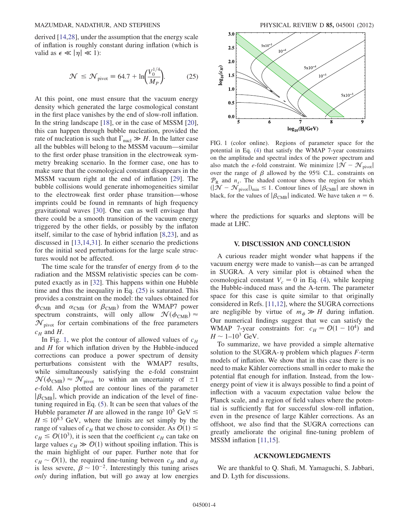<span id="page-3-0"></span>derived [[14](#page-4-22),[28](#page-4-25)], under the assumption that the energy scale of inflation is roughly constant during inflation (which is valid as  $\epsilon \ll |\eta| \ll 1$ :

$$
\mathcal{N} \le \mathcal{N}_{\text{pivot}} \equiv 64.7 + \ln \left( \frac{V_0^{1/4}}{M_P} \right). \tag{25}
$$

At this point, one must ensure that the vacuum energy density which generated the large cosmological constant in the first place vanishes by the end of slow-roll inflation. In the string landscape [[18](#page-4-11)], or in the case of MSSM [[20\]](#page-4-13), this can happen through bubble nucleation, provided the rate of nucleation is such that  $\Gamma_{\text{nucl}} \gg H$ . In the latter case all the bubbles will belong to the MSSM vacuum—similar to the first order phase transition in the electroweak symmetry breaking scenario. In the former case, one has to make sure that the cosmological constant disappears in the MSSM vacuum right at the end of inflation [[29](#page-4-26)]. The bubble collisions would generate inhomogeneities similar to the electroweak first order phase transition—whose imprints could be found in remnants of high frequency gravitational waves [\[30\]](#page-4-27). One can as well envisage that there could be a smooth transition of the vacuum energy triggered by the other fields, or possibly by the inflaton itself, similar to the case of hybrid inflation [[8,](#page-4-4)[23](#page-4-16)], and as discussed in [\[13](#page-4-23)[,14,](#page-4-22)[31](#page-4-28)]. In either scenario the predictions for the initial seed perturbations for the large scale structures would not be affected.

The time scale for the transfer of energy from  $\phi$  to the radiation and the MSSM relativistic species can be computed exactly as in [[32](#page-4-29)]. This happens within one Hubble time and thus the inequality in Eq. [\(25\)](#page-3-0) is saturated. This provides a constraint on the model: the values obtained for  $\phi_{\text{CMB}}$  and  $\alpha_{\text{CMB}}$  (or  $\beta_{\text{CMB}}$ ) from the WMAP7 power spectrum constraints, will only allow  $\mathcal{N}(\phi_{CMB}) \approx$  $\mathcal{N}_{\text{pivot}}$  for certain combinations of the free parameters  $c_H$  and H.

In Fig. [1](#page-3-1), we plot the contour of allowed values of  $c_H$ and  $H$  for which inflation driven by the Hubble-induced corrections can produce a power spectrum of density perturbations consistent with the WMAP7 results, while simultaneously satisfying the e-fold constraint  $\mathcal{N}(\phi_{\text{CMB}}) \approx \mathcal{N}_{\text{pivot}}$  to within an uncertainty of  $\pm 1$ e-fold. Also plotted are contour lines of the parameter  $|\beta_{\text{CMB}}|$ , which provide an indication of the level of finetuning required in Eq. [\(5\)](#page-1-3). It can be seen that values of the Hubble parameter H are allowed in the range  $10^5$  GeV  $\leq$  $H \le 10^{8.5}$  GeV, where the limits are set simply by the range of values of  $c_H$  that we chose to consider. As  $\mathcal{O}(1) \leq$  $c_H \leq \mathcal{O}(10^3)$ , it is seen that the coefficient  $c_H$  can take on large values  $c_H \gg \mathcal{O}(1)$  without spoiling inflation. This is the main highlight of our paper. Further note that for  $c_H \sim \mathcal{O}(1)$ , the required fine-tuning between  $c_H$  and  $a_H$ is less severe,  $\beta \sim 10^{-2}$ . Interestingly this tuning arises only during inflation, but will go away at low energies



<span id="page-3-1"></span>FIG. 1 (color online). Regions of parameter space for the potential in Eq. [\(4](#page-1-0)) that satisfy the WMAP 7-year constraints on the amplitude and spectral index of the power spectrum and also match the e-fold constraint. We minimize  $|\mathcal{N} - \mathcal{N}_{\text{pivot}}|$ over the range of  $\beta$  allowed by the 95% C.L. constraints on  $P_R$  and  $n_s$ . The shaded contour shows the region for which  $(|\mathcal{N}-\mathcal{N}_{\text{pivot}}|)_{\text{min}} \leq 1$ . Contour lines of  $|\beta_{\text{CMB}}|$  are shown in black, for the values of  $|\beta_{\text{CMB}}|$  indicated. We have taken  $n = 6$ .

where the predictions for squarks and sleptons will be made at LHC.

### V. DISCUSSION AND CONCLUSION

A curious reader might wonder what happens if the vacuum energy were made to vanish—as can be arranged in SUGRA. A very similar plot is obtained when the cosmological constant  $V_c = 0$  in Eq. ([4\)](#page-1-0), while keeping the Hubble-induced mass and the A-term. The parameter space for this case is quite similar to that originally considered in Refs. [[11](#page-4-7),[12](#page-4-20)], where the SUGRA corrections are negligible by virtue of  $m_{\phi} \gg H$  during inflation. Our numerical findings suggest that we can satisfy the WMAP 7-year constraints for:  $c_H = \mathcal{O}(1 - 10^4)$  and  $H \sim 1-10^3$  GeV.

To summarize, we have provided a simple alternative solution to the SUGRA- $\eta$  problem which plagues F-term models of inflation. We show that in this case there is no need to make Kähler corrections small in order to make the potential flat enough for inflation. Instead, from the lowenergy point of view it is always possible to find a point of inflection with a vacuum expectation value below the Planck scale, and a region of field values where the potential is sufficiently flat for successful slow-roll inflation, even in the presence of large Kähler corrections. As an offshoot, we also find that the SUGRA corrections can greatly ameliorate the original fine-tuning problem of MSSM inflation [[11,](#page-4-7)[15](#page-4-8)].

### ACKNOWLEDGMENTS

We are thankful to Q. Shafi, M. Yamaguchi, S. Jabbari, and D. Lyth for discussions.